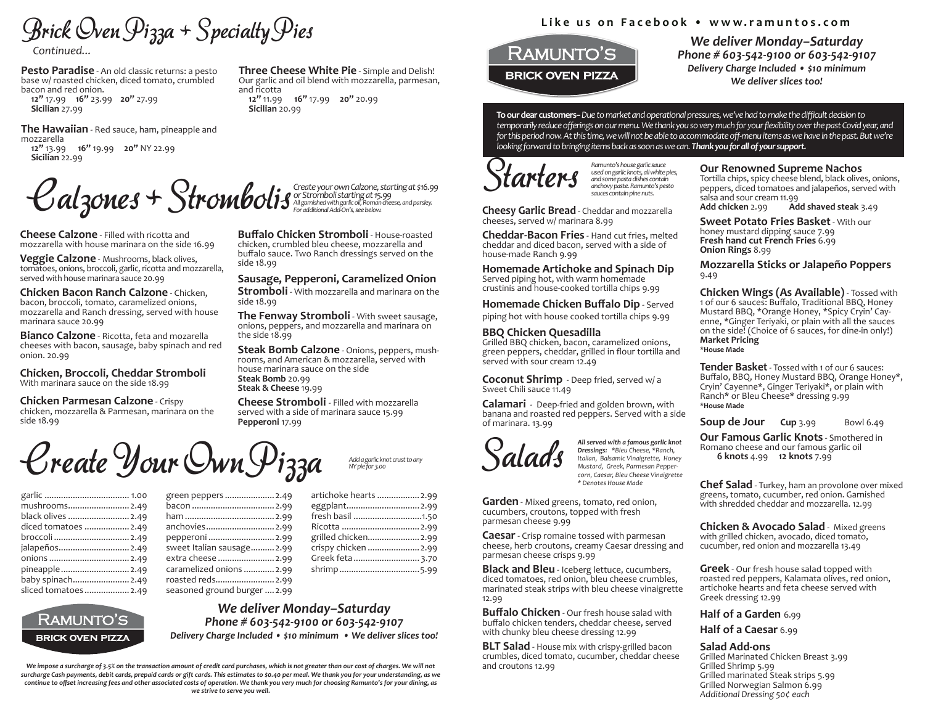$B$ rick  $O$ ven  $\mathcal{P}$ izza + Specialty  $\mathcal{P}$ ies

 *Continued...*

**Pesto Paradise** - An old classic returns: a pesto base w/ roasted chicken, diced tomato, crumbled bacon and red onion.

 **12"** 17.99 **16"** 23.99 **20"** 27.99 **Sicilian** 27.99

**The Hawaiian** - Red sauce, ham, pineapple and mozzarella

 **12"** 13.99 **16"** 19.99 **20"** NY 22.99 **Sicilian** 22.99

Calzone, Strombolistarting at \$16.99<br>
Calzone **3** 

Create Your Own Pizza

**Cheese Calzone** - Filled with ricotta and mozzarella with house marinara on the side 16.99

**Veggie Calzone** - Mushrooms, black olives, tomatoes, onions, broccoli, garlic, ricotta and mozzarella, served with house marinara sauce 20.99

**Chicken Bacon Ranch Calzone** - Chicken, bacon, broccoli, tomato, caramelized onions, mozzarella and Ranch dressing, served with house marinara sauce 20.99

**Bianco Calzone** - Ricotta, feta and mozarella cheeses with bacon, sausage, baby spinach and red onion. 20.99

**Chicken, Broccoli, Cheddar Stromboli** With marinara sauce on the side 18.99

**Chicken Parmesan Calzone** - Crispy chicken, mozzarella & Parmesan, marinara on the side 18.99

**Three Cheese White Pie** - Simple and Delish! Our garlic and oil blend with mozzarella, parmesan, and ricotta **12"** 11.99 **16"** 17.99 **20"** 20.99 **Sicilian** 20.99

**Buffalo Chicken Stromboli** - House-roasted chicken, crumbled bleu cheese, mozzarella and buffalo sauce. Two Ranch dressings served on the side 18.99

**Sausage, Pepperoni, Caramelized Onion** 

**Stromboli** - With mozzarella and marinara on the side 18.99

**The Fenway Stromboli** - With sweet sausage, onions, peppers, and mozzarella and marinara on the side 18.99

**Steak Bomb Calzone** - Onions, peppers, mushrooms, and American & mozzarella, served with house marinara sauce on the side **Steak Bomb** 20.99 **Steak & Cheese** 19.99

**Cheese Stromboli** - Filled with mozzarella served with a side of marinara sauce 15.99 **Pepperoni** 17.99

> *Add a garlic knot crust to any NY pie for 3.00*

artichoke hearts ..................2.99 eggplant...............................2.99 fresh basil .............................1.50 Ricotta .................................2.99

| mushrooms 2.49        |
|-----------------------|
| black olives  2.49    |
| diced tomatoes  2.49  |
| broccoli  2.49        |
| jalapeños 2.49        |
|                       |
| pineapple 2.49        |
| baby spinach 2.49     |
| sliced tomatoes  2.49 |
|                       |

RAMUNTO'S **BRICK OVEN PIZZA** 

| .49 |                              |  |
|-----|------------------------------|--|
| .49 |                              |  |
| .49 | anchovies 2.99               |  |
| .49 | pepperoni  2.99              |  |
| .49 | sweet Italian sausage 2.99   |  |
| .49 | extra cheese  2.99           |  |
| .49 | caramelized onions  2.99     |  |
| .49 | roasted reds 2.99            |  |
| .49 | seasoned ground burger  2.99 |  |
|     |                              |  |

green peppers .....................2.49

| 2.99                                 | grilled chicken2.99 |  |  |  |  |
|--------------------------------------|---------------------|--|--|--|--|
| 2.99                                 | crispy chicken 2.99 |  |  |  |  |
| 2.99                                 | Greek feta  3.70    |  |  |  |  |
| 2.99                                 |                     |  |  |  |  |
| 2.99                                 |                     |  |  |  |  |
| 12.99                                |                     |  |  |  |  |
| المحاسب والمتحال والمتحاسب والمتحددة |                     |  |  |  |  |

# *We deliver Monday–Saturday Phone # 603-542-9100 or 603-542-9107*

*Delivery Charge Included • \$10 minimum • We deliver slices too!*

*We impose a surcharge of 3.5% on the transaction amount of credit card purchases, which is not greater than our cost of charges. We will not surcharge Cash payments, debit cards, prepaid cards or gift cards. This estimates to \$0.40 per meal. We thank you for your understanding, as we continue to offset increasing fees and other associated costs of operation. We thank you very much for choosing Ramunto's for your dining, as we strive to serve you well.*

## **Like us on Facebook • www.ramuntos.com**



*We deliver Monday–Saturday Phone # 603-542-9100 or 603-542-9107 Delivery Charge Included • \$10 minimum We deliver slices too!*

**To our dear customers--** *Due to market and operational pressures, we've had to make the difficult decision to temporarily reduce offerings on our menu. We thank you so very much for your flexibility over the past Covid year, and for this period now. At this time, we will not be able to accommodate off-menu items as we have in the past. But we're looking forward to bringing items back as soon as we can. Thank you for all of your support.* 



*Ramunto's house garlic sauce used on garlic knots, all white pies, and some pasta dishes contain anchovy paste. Ramunto's pesto sauces contain pine nuts.*

**Cheesy Garlic Bread** - Cheddar and mozzarella cheeses, served w/ marinara 8.99

**Cheddar-Bacon Fries** - Hand cut fries, melted cheddar and diced bacon, served with a side of house-made Ranch 9.99

**Homemade Artichoke and Spinach Dip** Served piping hot, with warm homemade crustinis and house-cooked tortilla chips 9.99

**Homemade Chicken Buffalo Dip** - Served piping hot with house cooked tortilla chips 9.99

## **BBQ Chicken Quesadilla**

Grilled BBQ chicken, bacon, caramelized onions, green peppers, cheddar, grilled in flour tortilla and served with sour cream 12.49

**Coconut Shrimp** - Deep fried, served w/ a Sweet Chili sauce 11.49

**Calamari** - Deep-fried and golden brown, with banana and roasted red peppers. Served with a side of marinara. 13.99



All served with a famous garlic knot<br> **Salace** *All served with a famous garlic knot*<br> *Mustard, Greek, Parmessn Pepper*<br> *Mustard, Greek, Parmessn Pepper Dressings:* \**Bleu Cheese, \*Ranch, Italian, Balsamic Vinaigrette, Honey Mustard, Greek, Parmesan Peppercorn, Caesar, Bleu Cheese Vinaigrette \* Denotes House Made*

**Garden** - Mixed greens, tomato, red onion, cucumbers, croutons, topped with fresh parmesan cheese 9.99

**Caesar** - Crisp romaine tossed with parmesan cheese, herb croutons, creamy Caesar dressing and parmesan cheese crisps 9.99

**Black and Bleu** - Iceberg lettuce, cucumbers, diced tomatoes, red onion, bleu cheese crumbles, marinated steak strips with bleu cheese vinaigrette 12.99

**Buffalo Chicken** - Our fresh house salad with buffalo chicken tenders, cheddar cheese, served with chunky bleu cheese dressing 12.99

**BLT Salad** - House mix with crispy-grilled bacon crumbles, diced tomato, cucumber, cheddar cheese and croutons 12.99

## **Our Renowned Supreme Nachos**

Tortilla chips, spicy cheese blend, black olives, onions, peppers, diced tomatoes and jalapeños, served with salsa and sour cream 11.99<br>Add chicken 2.99 Ad **Add chicken** 2.99 **Add shaved steak** 3.49

**Sweet Potato Fries Basket** - With our honey mustard dipping sauce 7.99 **Fresh hand cut French Fries** 6.99 **Onion Rings** 8.99

**Mozzarella Sticks or Jalapeño Poppers**  9.49

**Chicken Wings (As Available)** - Tossed with 1 of our 6 sauces: Buffalo, Traditional BBQ, Honey Mustard BBQ, \*Orange Honey, \*Spicy Cryin' Cayenne, \*Ginger Teriyaki, or plain with all the sauces on the side! (Choice of 6 sauces, for dine-in only!) **Market Pricing \*House Made**

**Tender Basket** - Tossed with 1 of our 6 sauces: Buffalo, BBQ, Honey Mustard BBQ, Orange Honey\*, Cryin' Cayenne\*, Ginger Teriyaki\*, or plain with Ranch\* or Bleu Cheese\* dressing 9.99 **\*House Made**

**Soup de Jour Cup** 3.99 Bowl 6.49

**Our Famous Garlic Knots** - Smothered in Romano cheese and our famous garlic oil **6 knots** 4.99 **12 knots** 7.99

**Chef Salad** - Turkey, ham an provolone over mixed greens, tomato, cucumber, red onion. Garnished with shredded cheddar and mozzarella. 12.99

**Chicken & Avocado Salad** - Mixed greens with grilled chicken, avocado, diced tomato, cucumber, red onion and mozzarella 13.49

**Greek** - Our fresh house salad topped with roasted red peppers, Kalamata olives, red onion, artichoke hearts and feta cheese served with Greek dressing 12.99

**Half of a Garden** 6.99

**Half of a Caesar** 6.99

#### **Salad Add-ons**

Grilled Marinated Chicken Breast 3.99 Grilled Shrimp 5.99 Grilled marinated Steak strips 5.99 Grilled Norwegian Salmon 6.99 *Additional Dressing 50¢ each*